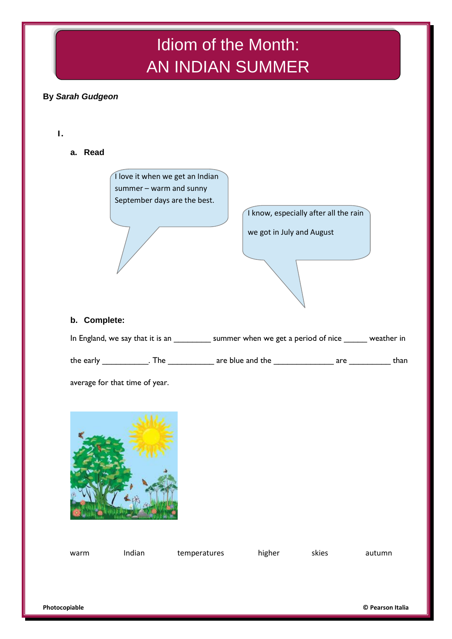# Idiom of the Month: AN INDIAN SUMMER

## **By** *Sarah Gudgeon*

**1.**

**a. Read**



I know, especially after all the rain we got in July and August

#### **b. Complete:**

| In England, we say that it is an |     | summer when we get a period of nice |     | weather in |
|----------------------------------|-----|-------------------------------------|-----|------------|
| the early                        | The | are blue and the                    | are | than       |

average for that time of year.



| warm | Indian | temperatures | higher | skies | autumn |
|------|--------|--------------|--------|-------|--------|
|      |        |              |        |       |        |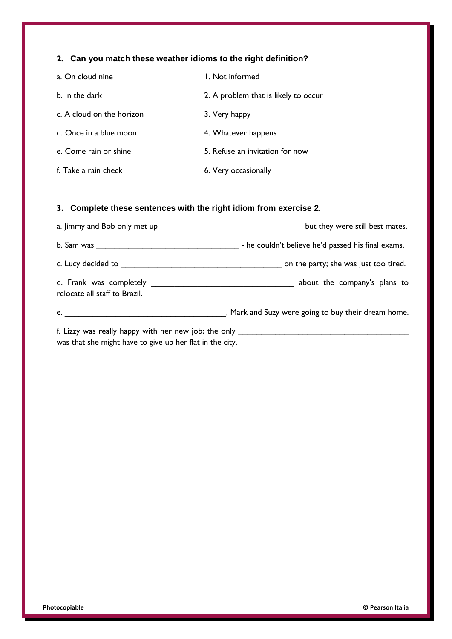### **2. Can you match these weather idioms to the right definition?**

| a. On cloud nine          | L. Not informed                      |
|---------------------------|--------------------------------------|
| b. In the dark            | 2. A problem that is likely to occur |
| c. A cloud on the horizon | 3. Very happy                        |
| d. Once in a blue moon    | 4. Whatever happens                  |
| e. Come rain or shine     | 5. Refuse an invitation for now      |
| f. Take a rain check      | 6. Very occasionally                 |

### **3. Complete these sentences with the right idiom from exercise 2.**

|                                                                                           | but they were still best mates.                                                  |
|-------------------------------------------------------------------------------------------|----------------------------------------------------------------------------------|
| b. Sam was                                                                                | - he couldn't believe he'd passed his final exams.                               |
|                                                                                           | on the party; she was just too tired.                                            |
| relocate all staff to Brazil.                                                             |                                                                                  |
| e. $\qquad \qquad$                                                                        | , Mark and Suzy were going to buy their dream home.                              |
| المستعلقة والمساهد والمستقل والمستعلم والمستعلق والمستعلم والمستعلم والمستعلم والمستعلمات | f. Lizzy was really happy with her new job; the only ___________________________ |

was that she might have to give up her flat in the city.